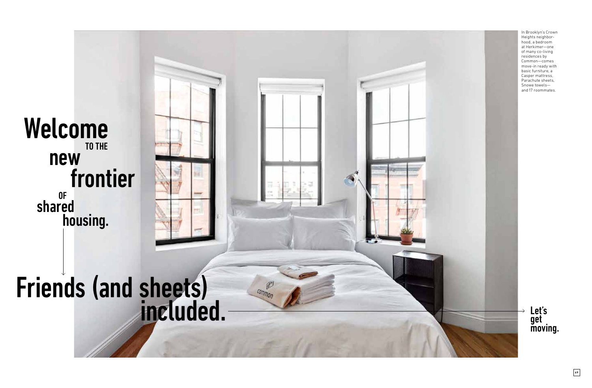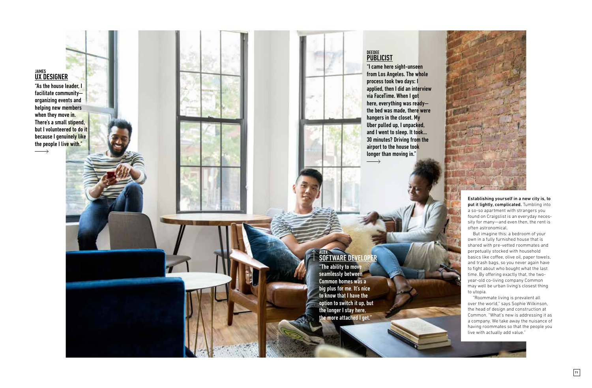## JAMES<br><mark>UX DESIGNER</mark>

 $\longrightarrow$ 

"As the house leader, I facilitate community organizing events and helping new members when they move in. There's a small stipend, but I volunteered to do it because I genuinely like the people I live with."

## <sub>ALEX</sub><br><mark>SOFTWARE DEVELOPER</mark>

"The ability to move seamlessly between Common homes was a big plus for me. It's nice to know that I have the option to switch it up, but the longer I stay here, the more attached I get."

RAYON RICHARDS

## <sub>deedee</sub><br><mark>PUBLICIST</mark>

"I came here sight-unseen from Los Angeles. The whole process took two days: I applied, then I did an interview via FaceTime. When I got here, everything was ready the bed was made, there were hangers in the closet. My Uber pulled up, I unpacked, and I went to sleep. It took… 30 minutes? Driving from the airport to the house took longer than moving in."  $\longrightarrow$ 



put it lightly, complicated. Tumbling into a so-so apartment with strangers you found on Craigslist is an everyday neces sity for many—and even then, the rent is often astronomical.

But imagine this: a bedroom of your own in a fully furnished house that is shared with pre-vetted roommates and perpetually stocked with household basics like co fee, olive oil, paper towels, and trash bags, so you never again have to fight about who bought what the last time. By o fering exactly that, the twoyear-old co-living company Common may well be urban living's closest thing to utopia.

"Roommate living is prevalent all over the world," says Sophie Wilkinson, the head of design and construction at Common. "What's new is addressing it as a company. We take away the nuisance of having roommates so that the people you live with actually add value."